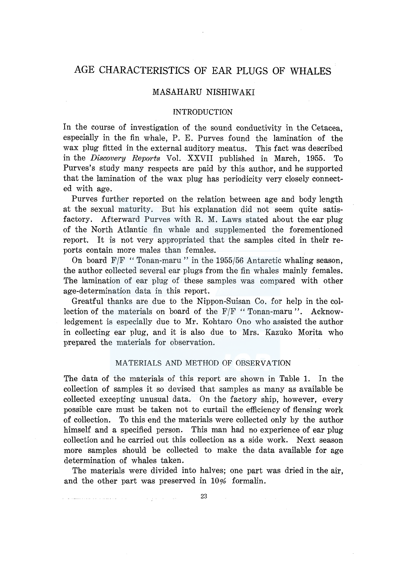# AGE CHARACTERISTICS OF EAR PLUGS OF WHALES

## MASAHARU NISHIW AKI

## INTRODUCTION

In the course of investigation of the sound conductivity in the Cetacea, especially in the fin whale, P. E. Purves found the lamination of the wax plug fitted in the external auditory meatus. This fact was described in the *Discovery Reports* Vol. XXVII published in March, 1955. To Purves's study many respects are paid by this author, and he supported that the lamination of the wax plug has periodicity very closely connected with age.

Purves further reported on the relation between age and body length at the sexual maturity. But his explanation did not seem quite satisfactory. Afterward Purves with R. M. Laws stated about the ear plug of the North Atlantic fin whale and supplemented the forementioned report. It is not very appropriated that the samples cited in their reports contain more males than females.

On board  $F/F$  "Tonan-maru" in the 1955/56 Antarctic whaling season, the author collected several ear plugs from the fin whales mainly females. The lamination of ear plug of these samples was compared with other age-determination data in this report.

Greatful thanks are due to the Nippon-Suisan Co. for help in the collection of the materials on board of the F/F "Tonan-maru ". Acknowledgement is especially due to Mr. Kohtaro Ono who assisted the author in collecting ear plug, and it is also due to Mrs. Kazuko Morita who prepared the materials for observation.

## MATERIALS AND METHOD OF OBSERVATION

The data of the materials of this report are shown in Table 1. In the collection of samples it so devised that samples as many as available be collected excepting unusual data. On the factory ship, however, every possible care must be taken not to curtail the efficiency of flensing work of collection. To this end the materials were collected only by the author himself and a specified person. This man had no experience of ear plug collection and he carried out this collection as a side work. Next season more samples should be collected to make the data available for age determination of whales taken.

The materials were divided into halves; one part was dried in the air, and the other part was preserved in 10% formalin.

23

فساد والمتعاون والمنادي المتعاونة ووسط والمتواطن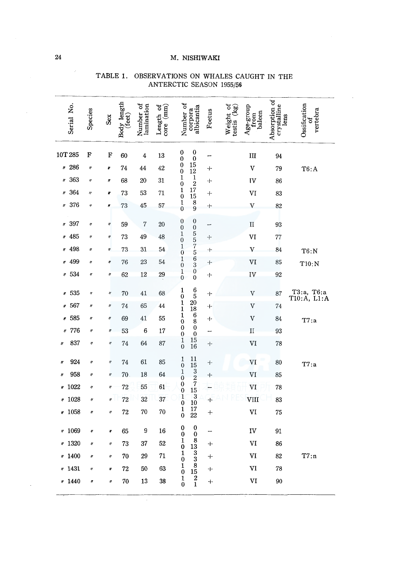| Serial No.               | Species             | Sex                 | Body length<br>(feet) | Number of<br>lamination | Length of $\operatorname*{core}\left( \min\right)$ | Number of                                                    | corpora<br>albicantia                                  | Foetus    | Weight of<br>testis (kg) | Age-group<br>from<br>baleen | Absorption of<br>crystalline<br>lens | Ossification<br>vertebra<br>ಕ |
|--------------------------|---------------------|---------------------|-----------------------|-------------------------|----------------------------------------------------|--------------------------------------------------------------|--------------------------------------------------------|-----------|--------------------------|-----------------------------|--------------------------------------|-------------------------------|
| 10T 285                  | F                   | F                   | 60                    | 4                       | 13                                                 | 0                                                            | 0<br>$\boldsymbol{0}$                                  | ÷         |                          | Ш                           | 94                                   |                               |
| " 286                    | $\eta$              | ų                   | 74                    | 44                      | 42                                                 | $\begin{matrix} 0 \\ 0 \end{matrix}$<br>$\check{\mathbf{0}}$ | 15<br>$\overline{12}$                                  | ┿         |                          | $\boldsymbol{\mathrm{v}}$   | 79                                   | T6: A                         |
| 363<br>11                | 11                  | Ħ                   | 68                    | 20                      | 31                                                 | $\mathbf{1}$<br>$\bf{0}$                                     | $\frac{1}{2}$                                          | $\pm$     |                          | ΙV                          | 86                                   |                               |
| 364<br>II                | $\eta$              | ₽                   | 73                    | 53                      | 71                                                 | $\mathbf{1}$<br>$\overline{0}$                               | 17<br>15                                               | $+$       |                          | VI                          | 83                                   |                               |
| 376<br>IJ                | 17                  | Ħ                   | 73                    | 45                      | 57                                                 | $\mathbf 1$<br>$\theta$                                      | 8<br>9                                                 | $\div$    |                          | $\boldsymbol{\mathrm{V}}$   | 82                                   |                               |
| 397<br>$\pmb{\eta}$      | $\eta$              | IJ                  | 59                    | 7                       | 20                                                 | $\boldsymbol{0}$<br>$\boldsymbol{0}$                         | 0<br>$\boldsymbol{0}$                                  | -         |                          | $\mathbf{I}$                | 93                                   |                               |
| 485<br>It                | $^{\prime\prime}$   | IJ                  | 73                    | 49                      | 48                                                 | $\frac{1}{0}$                                                |                                                        | $+$       |                          | VI                          | 77                                   |                               |
| 498<br>ŋ                 | ır                  | ŋ                   | 73                    | 31                      | 54                                                 | $\mathbf 1$<br>$\overline{0}$                                | 557563                                                 | $+$       |                          | V                           | 84                                   | T6:N                          |
| 499                      | $\eta$              | Ŋ                   | 76                    | 23                      | 54                                                 | 1<br>$\overline{0}$                                          |                                                        | ┿         |                          | VI                          | 85                                   | T10:N                         |
| 534<br>$^{\prime\prime}$ | IJ                  | 11                  | 62                    | 12                      | 29                                                 | $\begin{smallmatrix}1\0\end{smallmatrix}$                    | $\boldsymbol{0}$<br>$\bar{0}$                          | ┿         |                          | IV                          | 92                                   |                               |
| 535<br>Ħ                 | IJ                  | Ħ                   | 70                    | 41                      | 68                                                 | 1<br>$\bf{0}$                                                | $\frac{6}{5}$                                          | $+$       |                          | V                           | 87                                   | T3:a, T6:a<br>T10:A, L1:A     |
| 567<br>Ħ                 | n                   | $^{\prime\prime}$   | 74                    | 65                      | 44                                                 | $\mathbf 1$<br>$\mathbf{1}$                                  | <b>20</b><br>18                                        | $\ddot{}$ |                          | V                           | 74                                   |                               |
| 585<br>Ħ                 | $\boldsymbol{\eta}$ | $\eta$              | 69                    | 41                      | 55                                                 | $\mathbf 1$<br>$\overline{0}$                                | $\boldsymbol{6}$<br>$\bar{8}$                          | $\div$    |                          | V                           | 84                                   | T7: a                         |
| 776                      | IJ                  | $\eta$              | 53                    | 6                       | 17                                                 | $\bf{0}$<br>$\boldsymbol{0}$                                 | $\bf{0}$<br>$\ddot{\mathbf{0}}$                        | -         |                          | $\mathbf{I}$                | 93                                   |                               |
| 837<br><u>II</u>         | $\eta$              | $\eta$              | 74                    | 64                      | 87                                                 | $\frac{1}{0}$                                                | 15<br>16                                               | ⊹         |                          | VI                          | 78                                   |                               |
| 924<br>Ħ                 | $^{\prime\prime}$   | $\boldsymbol{\eta}$ | 74                    | 61                      | 85                                                 | $\mathbf{1}$<br>$\mathbf{0}$                                 | 11                                                     | $+$       |                          | VI                          | 80                                   | T7: a                         |
| 958<br>IJ                | IJ                  | IJ                  | 70                    | 18                      | 64                                                 | $\mathbf{1}$<br>$\boldsymbol{0}$                             | $\begin{array}{c} 15 \\ 3 \\ 2 \\ 7 \\ 15 \end{array}$ | $+$       |                          | VI                          | 85                                   |                               |
| 1022<br>H                | IJ                  | $\boldsymbol{\eta}$ | 72                    | 55                      | 61                                                 | $\begin{smallmatrix}0\0\0\end{smallmatrix}$                  |                                                        |           |                          | VI                          | 78                                   |                               |
| 1028<br>$\eta$           | $^{\prime\prime}$   | $^{\prime\prime}$   | 72                    | 32                      | 37                                                 | $\mathbf{1}$<br>$\bf{0}$                                     | $\overline{\mathbf{3}}$<br>10                          | $\ddot{}$ |                          | VIII                        | 83                                   |                               |
| 1058<br>₩                | H                   | $\eta$              | 72                    | 70                      | 70                                                 | $\begin{smallmatrix}1\0\end{smallmatrix}$                    | 17<br>22                                               | $\ddot{}$ |                          | VI                          | 75                                   |                               |
| 1069<br>IJ               | Ņ                   | Ņ                   | 65                    | 9                       | 16                                                 | 0<br>$\bf{0}$                                                | $\bf{0}$<br>$\overline{0}$                             |           |                          | IV                          | 91                                   |                               |
| 1320<br>n                | II                  | $^{\prime\prime}$   | 73                    | 37                      | 52                                                 | 1<br>$\overline{0}$                                          | $\begin{smallmatrix}8\13\end{smallmatrix}$             | $\bm{+}$  |                          | VI                          | 86                                   |                               |
| 1400<br>IJ               | $\boldsymbol{H}$    | $^{\prime\prime}$   | 70                    | 29                      | 71                                                 | $\mathbf{1}$<br>$\bf{0}$                                     | $\frac{3}{8}$                                          | $^{+}$    |                          | VI                          | 82                                   | T7:n                          |
| 1431<br>ij               | ij                  | ₩                   | 72                    | 50                      | 63                                                 | 1<br>$\ddot{\mathbf{0}}$                                     | 15                                                     | ┿         |                          | VI                          | 78                                   |                               |
| * 1440                   | $\boldsymbol{\eta}$ | $\eta$              | 70                    | 13                      | 38                                                 | $\begin{matrix}1\0\end{matrix}$                              | $\frac{2}{1}$                                          | $\bm{+}$  |                          | VI                          | 90                                   |                               |

# TABLE 1. OBSERVATIONS ON WHALES CAUGHT IN THE ANTERCTIC SEASON 1955/56

 $\sim$ 

 $\ddot{\phantom{a}}$ 

----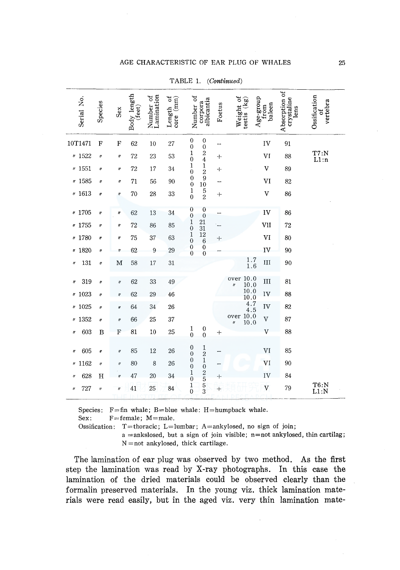## AGE CHARACTERISTIC OF EAR PLUG OF WHALES

| Serial No.                | Species             | Sex               | Body length<br>(feet) | Number of<br>Lamination | Length of $\operatorname*{core}\left( \operatorname*{mm}\right)$ | Number of                                    | albicantia<br>corpora                         | Foetus | Weight of<br>testis (kg)                       | $\begin{array}{c}\n\text{Age-group} \\ \text{from}\n\end{array}$<br>baleen | Absorption of<br>crystaline<br>lens | Ossification<br>vertebra<br>능 |
|---------------------------|---------------------|-------------------|-----------------------|-------------------------|------------------------------------------------------------------|----------------------------------------------|-----------------------------------------------|--------|------------------------------------------------|----------------------------------------------------------------------------|-------------------------------------|-------------------------------|
| 10T1471                   | $\mathbf F$         | ${\bf F}$         | 62                    | 10                      | 27                                                               | $\boldsymbol{0}$<br>$\overline{0}$           | $\boldsymbol{0}$<br>$\boldsymbol{0}$          |        |                                                | IV                                                                         | 91                                  |                               |
| 9 1522                    | $\boldsymbol{\eta}$ | $\eta$            | 72                    | 23                      | 53                                                               | $\mathbf{1}$<br>$\overline{0}$               | $\frac{2}{4}$                                 | $+$    |                                                | VI                                                                         | 88                                  | $T7:N$<br>L1:n                |
| $v$ 1551                  | IJ                  | $\pmb{\eta}$      | 72                    | 17                      | 34                                                               | 1<br>$\overline{0}$                          | $\mathbf 1$<br>$\overline{\mathbf{c}}$        | ┿      |                                                | V                                                                          | 89                                  |                               |
| 41585                     | IJ                  | $\pmb{\eta}$      | 71                    | 56                      | 90                                                               | $\bf{0}$<br>$\overline{0}$                   | 9<br>10                                       |        |                                                | VI                                                                         | 82                                  |                               |
| 4 1613                    | n                   | $\eta$            | 70                    | 28                      | 33                                                               | $\mathbf{1}$<br>$\overline{0}$               | $\frac{5}{2}$                                 | ┿      |                                                | $\mathbf V$                                                                | 86                                  |                               |
| 41705                     | II                  | H                 | 62                    | 13                      | 34                                                               | $\boldsymbol{0}$<br>$\boldsymbol{0}$         | $\boldsymbol{0}$<br>$\mathbf{0}$              | -      |                                                | IV                                                                         | 86                                  |                               |
| 41755                     | Ħ                   | IJ                | 72                    | 86                      | 85                                                               | $\begin{smallmatrix} 1\\0 \end{smallmatrix}$ | $\begin{array}{c} 21 \\ 31 \end{array}$       |        |                                                | VII                                                                        | 72                                  |                               |
| # 1780                    | Ħ                   | ll.               | 75                    | 37                      | 63                                                               | $\mathbf 1$<br>$\bar{0}$                     | $\frac{12}{6}$                                | $^{+}$ |                                                | VI                                                                         | 80                                  |                               |
| 1820<br>IJ                | $\eta$              | $\eta$            | 62                    | $\mathbf{9}$            | 29                                                               | $\boldsymbol{0}$<br>$\overline{0}$           | $\ddot{\mathbf{0}}$<br>$\ddot{\text{o}}$      |        |                                                | IV                                                                         | 90                                  |                               |
| 131<br>IJ                 | $^{\prime\prime}$   | M                 | 58                    | $17\,$                  | 31                                                               |                                              |                                               |        | $\begin{smallmatrix}1.7\\1.6\end{smallmatrix}$ | III                                                                        | 90                                  |                               |
| 319<br>$^{\prime\prime}$  | Ħ                   | $\eta$            | 62                    | 33                      | 49                                                               |                                              |                                               |        | over 10.0                                      | III                                                                        | 81                                  |                               |
| 1023<br>ij                | If                  | $\eta$            | 62                    | 29                      | 46                                                               |                                              |                                               |        | $\frac{10.0}{10.0}$                            | IV                                                                         | 88                                  |                               |
| 1025<br>IJ                | IJ                  | H                 | 64                    | 34                      | 26                                                               |                                              |                                               |        | $4.7$<br>4.5<br>over 10.0<br>$\frac{4.5}{9}$   | IV                                                                         | 82                                  |                               |
| 1352<br>IJ                | n                   | $\eta$            | 66                    | 25                      | 37                                                               |                                              |                                               |        |                                                | $\bar{V}$                                                                  | 87                                  |                               |
| 603<br>$\eta$             | B                   | ${\bf F}$         | 81                    | 10                      | 25                                                               | $\frac{1}{0}$                                | $\begin{smallmatrix}0\0\0\end{smallmatrix}$   | $+$    |                                                | $\mathbf{V}$                                                               | 88                                  |                               |
| 605<br>IJ                 | Ħ                   | $^{\prime\prime}$ | 85                    | 12                      | 26                                                               | $\bf{0}$                                     |                                               |        |                                                | VI                                                                         | 85                                  |                               |
| 1162<br>$^{\prime\prime}$ | $^{\prime\prime}$   | $\eta$            | 80                    | 8                       | 26                                                               | $\overline{0}$<br>$\boldsymbol{0}$           | $\begin{smallmatrix}1\2\1\0\end{smallmatrix}$ |        |                                                | VI                                                                         | 90                                  |                               |
|                           |                     |                   |                       |                         |                                                                  | $\overline{0}$<br>1                          |                                               |        |                                                |                                                                            |                                     |                               |
| 628<br>IJ                 | H                   | $\eta$            | 47                    | 20                      | 34                                                               | $\overline{0}$                               | $\frac{2}{5}$ 5 3                             | $\pm$  |                                                | IV                                                                         | 84                                  |                               |
| 727<br>11                 | $\eta$              | $\eta$            | 41                    | 25                      | 84                                                               | $\frac{1}{0}$                                |                                               | $^{+}$ |                                                | $\boldsymbol{\mathrm{V}}$                                                  | 79                                  | $T6:N$<br>$L1:N$              |

TABLE 1. (Continued)

Species:  $F = fin$  whale; B=blue whale: H=humpback whale.

Sex:  $F = female$ ;  $M = male$ .

Ossification: T=thoracic; L=lumbar; A=ankylosed, no sign of join;  $a =$ ankslosed, but a sign of join visible;  $n = not$  ankylosed, thin cartilag;

N = not ankylosed, thick cartilage.

The lamination of ear plug was observed by two method. As the first step the lamination was read by X-ray photographs. In this case the lamination of the dried materials could be observed clearly than the formalin preserved materials. In the young viz. thick lamination materials were read easily, but in the aged viz. very thin lamination mate-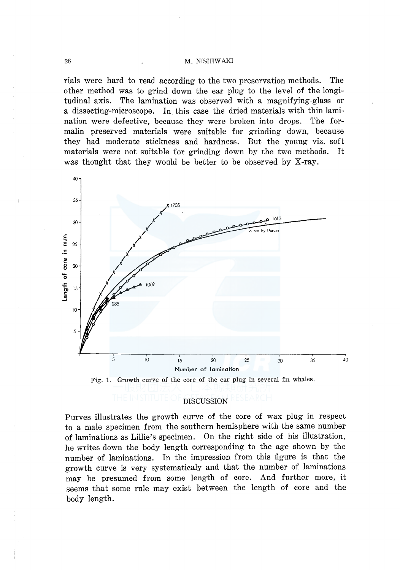rials were hard to read according to the two preservation methods. The other method was to grind down the ear plug to the level of the longitudinal axis. The lamination was observed with a magnifying-glass or a dissecting-microscope. In this case the dried materials with thin lamination were defective, because they were broken into drops. The formalin preserved materials were suitable for grinding down, because they had moderate stickness and hardness. But the young viz. soft materials were not suitable for grinding down by the two methods. It was thought that they would be better to be observed by X-ray.





## DISCUSSION

Purves illustrates the growth curve of the core of wax plug in respect to a male specimen from the southern hemisphere with the same number of laminations as Lillie's specimen. On the right side of his illustration, he writes down the body length corresponding to the age shown by the number of laminations. In the impression from this figure is that the growth curve is very systematicaly and that the number of laminations may be presumed from some length of core. And further more, it seems that some rule may exist between the length of core and the body length.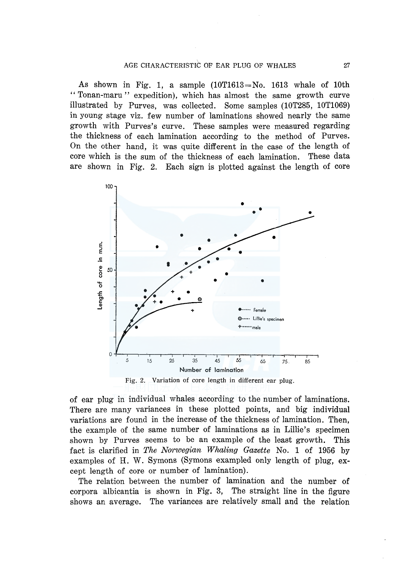As shown in Fig. 1, a sample  $(10T1613=N_0, 1613)$  whale of 10th "Tonan-maru" expedition), which has almost the same growth curve illustrated by Purves, was collected. Some samples (10T285, 10T1069) in young stage viz. few number of laminations showed nearly the same growth with Purves's curve. These samples were measured regarding the thickness of each lamination according to the method of Purves. On the other hand, it was quite different in the case of the length of core which is the sum of the thickness of each lamination. These data are shown in Fig. 2. Each sign is plotted against the length of core



Fig. 2. Variation of core length in different ear plug.

of ear plug in individual whales according to the number of laminations. There are many variances in these plotted points, and big individual variations are found in the increase of the thickness of lamination. Then, the example of the same number of laminations as in Lillie's specimen shown by Purves seems to be an example of the least growth. This fact is clarified in *The Norwegian Whaling Gazette* No. 1 of 1956 by examples of H. W. Symons (Symons exampled only length of plug, except length of core or number of lamination).

The relation between the number of lamination and the number of corpora albicantia is shown in Fig. 3, The straight line in the figure shows an average. The variances are relatively small and the relation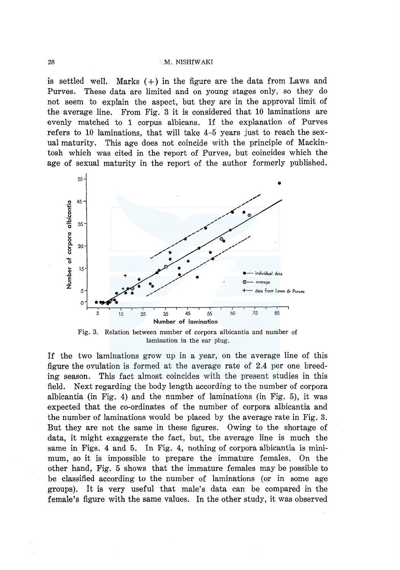is settled well. Marks  $(+)$  in the figure are the data from Laws and Purves. These data are limited and on young stages only, so they do not seem to explain the aspect, but they are in the approval limit of the average line. From Fig. 3 it is considered that 10 laminations are evenly matched to 1 corpus albicans. If the explanation of Purves refers to 10 laminations, that will take 4-5 years just to reach the sexual maturity. This age does not coincide with the principle of Mackintosh which was cited in the report of Purves, but coincides which the age of sexual maturity in the report of the author formerly published.



Fig. 3. Relation between number of corpora albicantia and number of lamination in the ear plug.

If the two laminations grow up in a year, on the average line of this figure the ovulation is formed at the average rate of 2.4 per one breeding season. This fact almost coincides with the present studies in this field. Next regarding the body length according to the number of corpora albicantia (in Fig. 4) and the number of laminations (in Fig. 5), it was expected that the co-ordinates of the number of corpora albicantia and the number of laminations would be placed by the average rate in Fig. 3. But they are not the same in these figures. Owing to the shortage of data, it might exaggerate the fact, but, the average line is much the same in Figs. 4 and 5. In Fig. 4, nothing of corpora albicantia is minimum, so it is impossible to prepare the immature females. On the other hand, Fig. 5 shows that the immature females may be possible to be classified according to the number of laminations (or in some age groups). It is very useful that male's data can be compared in the female's figure with the same values. In the other study, it was observed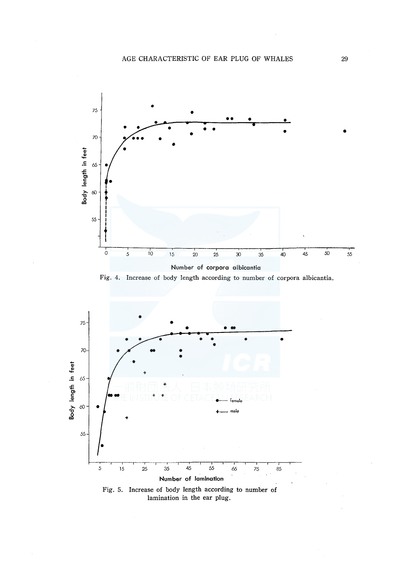

Fig. 4. Increase of body length according to number of corpora albicantia.



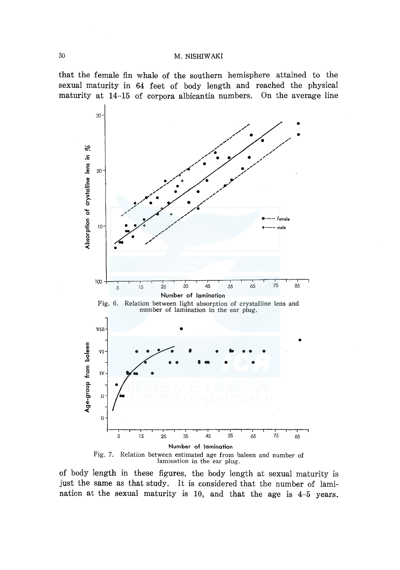that the female fin whale of the southern hemisphere attained to the sexual maturity in 64 feet of body length and reached the physical maturity at 14-15 of corpora albicantia numbers. On the average line



lamination in the ear plug.

of body length in these figures, the body length at sexual maturity is just the same as that study. It is considered that the number of lamination at the sexual maturity is 10, and that the age is 4-5 years.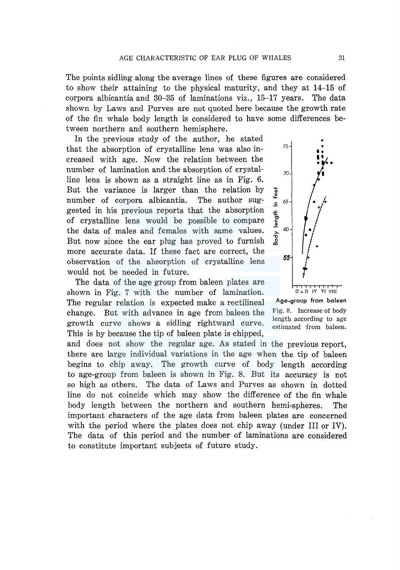The points sidling along the average lines of these figures are considered to show their attaining to the physical maturity, and they at 14-15 of corpora albicantia and 30-35 of laminations viz., 15-17 years. The data shown by Laws and Purves are not quoted here because the growth rate of the fin whale body length is considered to have some differences between northern and southern hemisphere.

In the previous study of the author, he stated that the absorption of crystalline lens was also increased with age. Now the relation between the number of lamination and the absorption of crystalline lens is shown as a straight line as in Fig. 6. But the variance is larger than the relation by  $\frac{1}{2}$  number of corpora albicantia. The author sugnumber of corpora albicantia. The author sug-  $\frac{4}{5}$  65 gested in his previous reports that the absorption of crystalline lens would be possible to compare the data of males and females with same values.  $\frac{1}{6}$   $\frac{1}{6}$ But now since the ear plug has proved to furnish more accurate data. If these fact are correct, the observation of the absorption of crystalline lens would not be needed in future.

The data of the age group from baleen plates are shown in Fig. 7 with the number of lamination. The regular relation is expected make a rectilineal change. But with advance in age from baleen the growth curve shows a sidling rightward curve. This is by because the tip of baleen plate is chipped,

and does not show the regular age. As stated in the previous report, there are large individual variations in the age when the tip of baleen begins to chip away. The growth curve of body length according to age-group from baleen is shown in Fig. 8. But its accuracy is not so high as others. The data of Laws and Purves as shown in dotted line do not coincide which may show the difference of the fin whale body length between the northern and southern hemi-spheres. The important characters of the age data from baleen plates are concerned with the period where the plates does not chip away (under III or IV). The data of this period and the number of laminations are considered to constitute important subjects of future study.